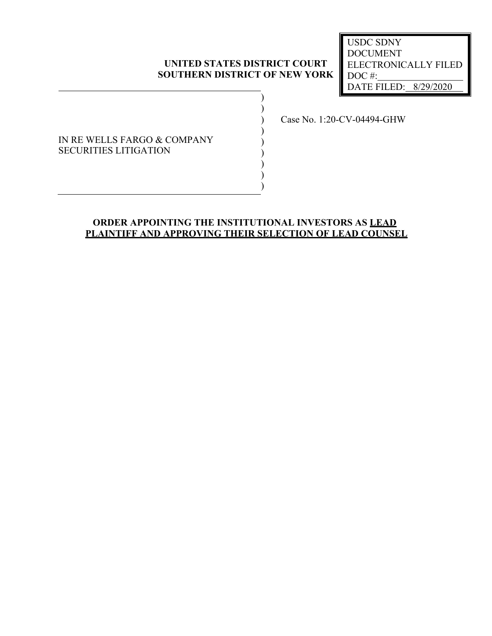### **UNITED STATES DISTRICT COURT SOUTHERN DISTRICT OF NEW YORK**

) )

) ) ) ) ) )

DATE FILED: 8/29/2020 USDC SDNY DOCUMENT ELECTRONICALLY FILED DOC #:

## IN RE WELLS FARGO & COMPANY SECURITIES LITIGATION

) Case No. 1:20-CV-04494-GHW

# **ORDER APPOINTING THE INSTITUTIONAL INVESTORS AS LEAD PLAINTIFF AND APPROVING THEIR SELECTION OF LEAD COUNSEL**